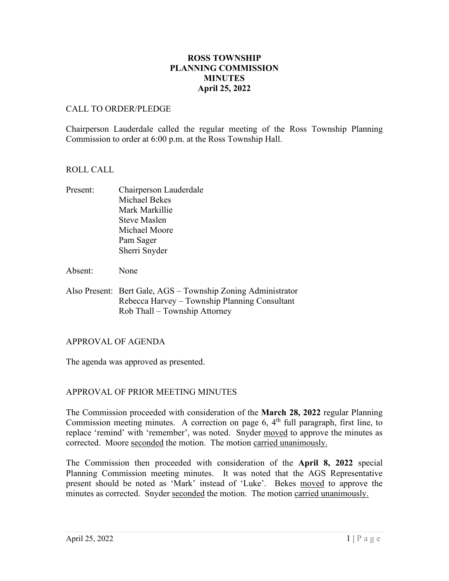# **ROSS TOWNSHIP PLANNING COMMISSION MINUTES April 25, 2022**

# CALL TO ORDER/PLEDGE

Chairperson Lauderdale called the regular meeting of the Ross Township Planning Commission to order at 6:00 p.m. at the Ross Township Hall.

## ROLL CALL

- Present: Chairperson Lauderdale Michael Bekes Mark Markillie Steve Maslen Michael Moore Pam Sager Sherri Snyder
- Absent: None
- Also Present: Bert Gale, AGS Township Zoning Administrator Rebecca Harvey – Township Planning Consultant Rob Thall – Township Attorney

## APPROVAL OF AGENDA

The agenda was approved as presented.

## APPROVAL OF PRIOR MEETING MINUTES

The Commission proceeded with consideration of the **March 28, 2022** regular Planning Commission meeting minutes. A correction on page 6,  $4<sup>th</sup>$  full paragraph, first line, to replace 'remind' with 'remember', was noted. Snyder moved to approve the minutes as corrected. Moore seconded the motion. The motion carried unanimously.

The Commission then proceeded with consideration of the **April 8, 2022** special Planning Commission meeting minutes. It was noted that the AGS Representative present should be noted as 'Mark' instead of 'Luke'. Bekes moved to approve the minutes as corrected. Snyder seconded the motion. The motion carried unanimously.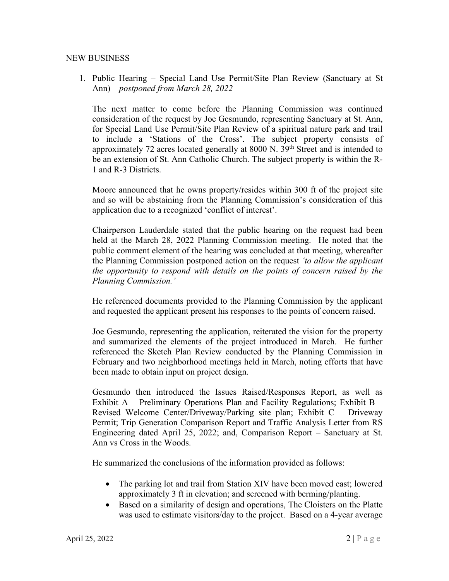#### NEW BUSINESS

1. Public Hearing – Special Land Use Permit/Site Plan Review (Sanctuary at St Ann) – *postponed from March 28, 2022*

The next matter to come before the Planning Commission was continued consideration of the request by Joe Gesmundo, representing Sanctuary at St. Ann, for Special Land Use Permit/Site Plan Review of a spiritual nature park and trail to include a 'Stations of the Cross'. The subject property consists of approximately 72 acres located generally at 8000 N.  $39<sup>th</sup>$  Street and is intended to be an extension of St. Ann Catholic Church. The subject property is within the R-1 and R-3 Districts.

Moore announced that he owns property/resides within 300 ft of the project site and so will be abstaining from the Planning Commission's consideration of this application due to a recognized 'conflict of interest'.

Chairperson Lauderdale stated that the public hearing on the request had been held at the March 28, 2022 Planning Commission meeting. He noted that the public comment element of the hearing was concluded at that meeting, whereafter the Planning Commission postponed action on the request *'to allow the applicant the opportunity to respond with details on the points of concern raised by the Planning Commission.'*

He referenced documents provided to the Planning Commission by the applicant and requested the applicant present his responses to the points of concern raised.

Joe Gesmundo, representing the application, reiterated the vision for the property and summarized the elements of the project introduced in March. He further referenced the Sketch Plan Review conducted by the Planning Commission in February and two neighborhood meetings held in March, noting efforts that have been made to obtain input on project design.

Gesmundo then introduced the Issues Raised/Responses Report, as well as Exhibit A – Preliminary Operations Plan and Facility Regulations; Exhibit B – Revised Welcome Center/Driveway/Parking site plan; Exhibit C – Driveway Permit; Trip Generation Comparison Report and Traffic Analysis Letter from RS Engineering dated April 25, 2022; and, Comparison Report – Sanctuary at St. Ann vs Cross in the Woods.

He summarized the conclusions of the information provided as follows:

- The parking lot and trail from Station XIV have been moved east; lowered approximately 3 ft in elevation; and screened with berming/planting.
- Based on a similarity of design and operations, The Cloisters on the Platte was used to estimate visitors/day to the project. Based on a 4-year average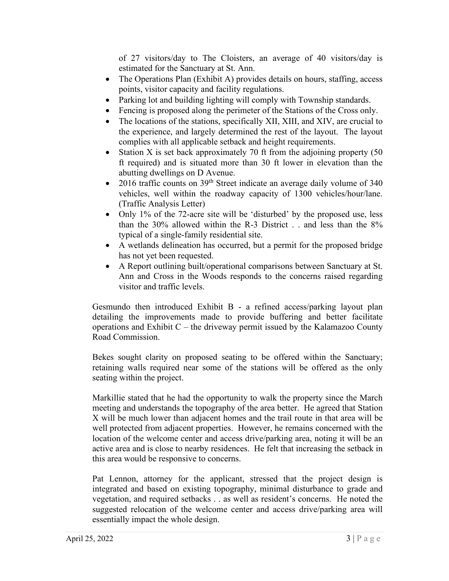of 27 visitors/day to The Cloisters, an average of 40 visitors/day is estimated for the Sanctuary at St. Ann.

- The Operations Plan (Exhibit A) provides details on hours, staffing, access points, visitor capacity and facility regulations.
- Parking lot and building lighting will comply with Township standards.
- Fencing is proposed along the perimeter of the Stations of the Cross only.
- The locations of the stations, specifically XII, XIII, and XIV, are crucial to the experience, and largely determined the rest of the layout. The layout complies with all applicable setback and height requirements.
- Station X is set back approximately 70 ft from the adjoining property (50) ft required) and is situated more than 30 ft lower in elevation than the abutting dwellings on D Avenue.
- 2016 traffic counts on  $39<sup>th</sup>$  Street indicate an average daily volume of 340 vehicles, well within the roadway capacity of 1300 vehicles/hour/lane. (Traffic Analysis Letter)
- Only 1% of the 72-acre site will be 'disturbed' by the proposed use, less than the 30% allowed within the R-3 District . . and less than the 8% typical of a single-family residential site.
- A wetlands delineation has occurred, but a permit for the proposed bridge has not yet been requested.
- A Report outlining built/operational comparisons between Sanctuary at St. Ann and Cross in the Woods responds to the concerns raised regarding visitor and traffic levels.

Gesmundo then introduced Exhibit B - a refined access/parking layout plan detailing the improvements made to provide buffering and better facilitate operations and Exhibit  $C$  – the driveway permit issued by the Kalamazoo County Road Commission.

Bekes sought clarity on proposed seating to be offered within the Sanctuary; retaining walls required near some of the stations will be offered as the only seating within the project.

Markillie stated that he had the opportunity to walk the property since the March meeting and understands the topography of the area better. He agreed that Station X will be much lower than adjacent homes and the trail route in that area will be well protected from adjacent properties. However, he remains concerned with the location of the welcome center and access drive/parking area, noting it will be an active area and is close to nearby residences. He felt that increasing the setback in this area would be responsive to concerns.

Pat Lennon, attorney for the applicant, stressed that the project design is integrated and based on existing topography, minimal disturbance to grade and vegetation, and required setbacks . . as well as resident's concerns. He noted the suggested relocation of the welcome center and access drive/parking area will essentially impact the whole design.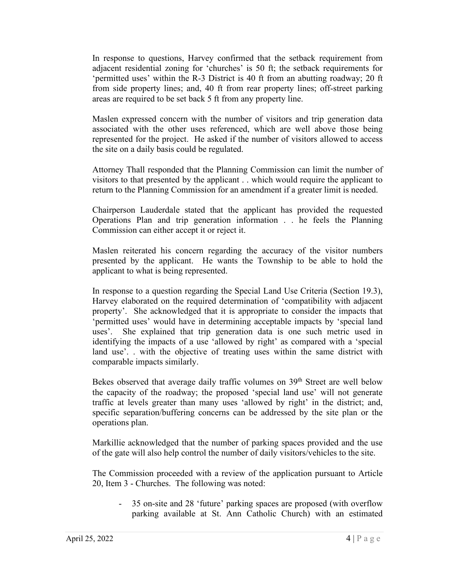In response to questions, Harvey confirmed that the setback requirement from adjacent residential zoning for 'churches' is 50 ft; the setback requirements for 'permitted uses' within the R-3 District is 40 ft from an abutting roadway; 20 ft from side property lines; and, 40 ft from rear property lines; off-street parking areas are required to be set back 5 ft from any property line.

Maslen expressed concern with the number of visitors and trip generation data associated with the other uses referenced, which are well above those being represented for the project. He asked if the number of visitors allowed to access the site on a daily basis could be regulated.

Attorney Thall responded that the Planning Commission can limit the number of visitors to that presented by the applicant . . which would require the applicant to return to the Planning Commission for an amendment if a greater limit is needed.

Chairperson Lauderdale stated that the applicant has provided the requested Operations Plan and trip generation information . . he feels the Planning Commission can either accept it or reject it.

Maslen reiterated his concern regarding the accuracy of the visitor numbers presented by the applicant. He wants the Township to be able to hold the applicant to what is being represented.

In response to a question regarding the Special Land Use Criteria (Section 19.3), Harvey elaborated on the required determination of 'compatibility with adjacent property'. She acknowledged that it is appropriate to consider the impacts that 'permitted uses' would have in determining acceptable impacts by 'special land uses'. She explained that trip generation data is one such metric used in identifying the impacts of a use 'allowed by right' as compared with a 'special land use'. . with the objective of treating uses within the same district with comparable impacts similarly.

Bekes observed that average daily traffic volumes on  $39<sup>th</sup>$  Street are well below the capacity of the roadway; the proposed 'special land use' will not generate traffic at levels greater than many uses 'allowed by right' in the district; and, specific separation/buffering concerns can be addressed by the site plan or the operations plan.

Markillie acknowledged that the number of parking spaces provided and the use of the gate will also help control the number of daily visitors/vehicles to the site.

The Commission proceeded with a review of the application pursuant to Article 20, Item 3 - Churches. The following was noted:

- 35 on-site and 28 'future' parking spaces are proposed (with overflow parking available at St. Ann Catholic Church) with an estimated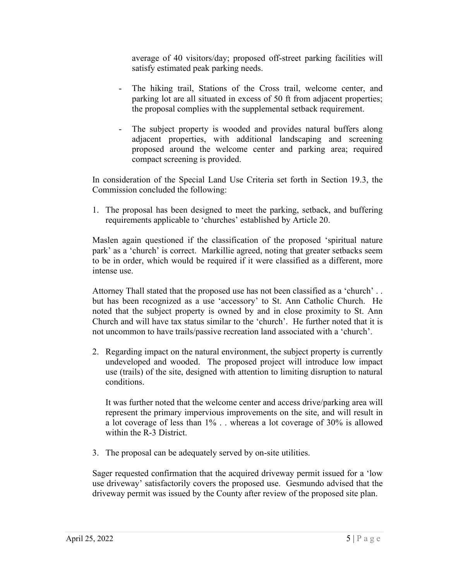average of 40 visitors/day; proposed off-street parking facilities will satisfy estimated peak parking needs.

- The hiking trail, Stations of the Cross trail, welcome center, and parking lot are all situated in excess of 50 ft from adjacent properties; the proposal complies with the supplemental setback requirement.
- The subject property is wooded and provides natural buffers along adjacent properties, with additional landscaping and screening proposed around the welcome center and parking area; required compact screening is provided.

In consideration of the Special Land Use Criteria set forth in Section 19.3, the Commission concluded the following:

1. The proposal has been designed to meet the parking, setback, and buffering requirements applicable to 'churches' established by Article 20.

Maslen again questioned if the classification of the proposed 'spiritual nature park' as a 'church' is correct. Markillie agreed, noting that greater setbacks seem to be in order, which would be required if it were classified as a different, more intense use.

Attorney Thall stated that the proposed use has not been classified as a 'church' . . but has been recognized as a use 'accessory' to St. Ann Catholic Church. He noted that the subject property is owned by and in close proximity to St. Ann Church and will have tax status similar to the 'church'. He further noted that it is not uncommon to have trails/passive recreation land associated with a 'church'.

2. Regarding impact on the natural environment, the subject property is currently undeveloped and wooded. The proposed project will introduce low impact use (trails) of the site, designed with attention to limiting disruption to natural conditions.

It was further noted that the welcome center and access drive/parking area will represent the primary impervious improvements on the site, and will result in a lot coverage of less than 1% . . whereas a lot coverage of 30% is allowed within the R-3 District.

3. The proposal can be adequately served by on-site utilities.

Sager requested confirmation that the acquired driveway permit issued for a 'low use driveway' satisfactorily covers the proposed use. Gesmundo advised that the driveway permit was issued by the County after review of the proposed site plan.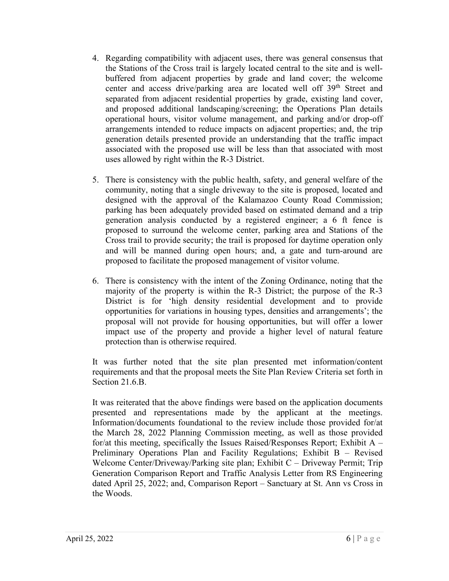- 4. Regarding compatibility with adjacent uses, there was general consensus that the Stations of the Cross trail is largely located central to the site and is wellbuffered from adjacent properties by grade and land cover; the welcome center and access drive/parking area are located well off 39th Street and separated from adjacent residential properties by grade, existing land cover, and proposed additional landscaping/screening; the Operations Plan details operational hours, visitor volume management, and parking and/or drop-off arrangements intended to reduce impacts on adjacent properties; and, the trip generation details presented provide an understanding that the traffic impact associated with the proposed use will be less than that associated with most uses allowed by right within the R-3 District.
- 5. There is consistency with the public health, safety, and general welfare of the community, noting that a single driveway to the site is proposed, located and designed with the approval of the Kalamazoo County Road Commission; parking has been adequately provided based on estimated demand and a trip generation analysis conducted by a registered engineer; a 6 ft fence is proposed to surround the welcome center, parking area and Stations of the Cross trail to provide security; the trail is proposed for daytime operation only and will be manned during open hours; and, a gate and turn-around are proposed to facilitate the proposed management of visitor volume.
- 6. There is consistency with the intent of the Zoning Ordinance, noting that the majority of the property is within the R-3 District; the purpose of the R-3 District is for 'high density residential development and to provide opportunities for variations in housing types, densities and arrangements'; the proposal will not provide for housing opportunities, but will offer a lower impact use of the property and provide a higher level of natural feature protection than is otherwise required.

It was further noted that the site plan presented met information/content requirements and that the proposal meets the Site Plan Review Criteria set forth in Section 21.6.B.

It was reiterated that the above findings were based on the application documents presented and representations made by the applicant at the meetings. Information/documents foundational to the review include those provided for/at the March 28, 2022 Planning Commission meeting, as well as those provided for/at this meeting, specifically the Issues Raised/Responses Report; Exhibit  $A -$ Preliminary Operations Plan and Facility Regulations; Exhibit B – Revised Welcome Center/Driveway/Parking site plan; Exhibit C – Driveway Permit; Trip Generation Comparison Report and Traffic Analysis Letter from RS Engineering dated April 25, 2022; and, Comparison Report – Sanctuary at St. Ann vs Cross in the Woods.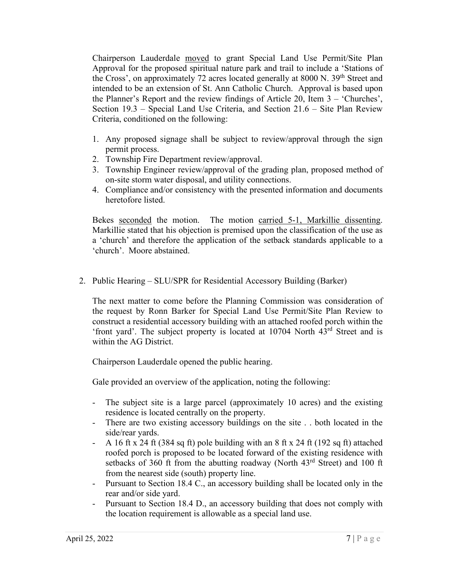Chairperson Lauderdale moved to grant Special Land Use Permit/Site Plan Approval for the proposed spiritual nature park and trail to include a 'Stations of the Cross', on approximately 72 acres located generally at 8000 N. 39<sup>th</sup> Street and intended to be an extension of St. Ann Catholic Church. Approval is based upon the Planner's Report and the review findings of Article 20, Item 3 – 'Churches', Section 19.3 – Special Land Use Criteria, and Section 21.6 – Site Plan Review Criteria, conditioned on the following:

- 1. Any proposed signage shall be subject to review/approval through the sign permit process.
- 2. Township Fire Department review/approval.
- 3. Township Engineer review/approval of the grading plan, proposed method of on-site storm water disposal, and utility connections.
- 4. Compliance and/or consistency with the presented information and documents heretofore listed.

Bekes seconded the motion. The motion carried 5-1, Markillie dissenting. Markillie stated that his objection is premised upon the classification of the use as a 'church' and therefore the application of the setback standards applicable to a 'church'. Moore abstained.

2. Public Hearing – SLU/SPR for Residential Accessory Building (Barker)

The next matter to come before the Planning Commission was consideration of the request by Ronn Barker for Special Land Use Permit/Site Plan Review to construct a residential accessory building with an attached roofed porch within the 'front yard'. The subject property is located at 10704 North 43rd Street and is within the AG District.

Chairperson Lauderdale opened the public hearing.

Gale provided an overview of the application, noting the following:

- The subject site is a large parcel (approximately 10 acres) and the existing residence is located centrally on the property.
- There are two existing accessory buildings on the site . . both located in the side/rear yards.
- A 16 ft x 24 ft (384 sq ft) pole building with an 8 ft x 24 ft (192 sq ft) attached roofed porch is proposed to be located forward of the existing residence with setbacks of 360 ft from the abutting roadway (North  $43<sup>rd</sup>$  Street) and 100 ft from the nearest side (south) property line.
- Pursuant to Section 18.4 C., an accessory building shall be located only in the rear and/or side yard.
- Pursuant to Section 18.4 D., an accessory building that does not comply with the location requirement is allowable as a special land use.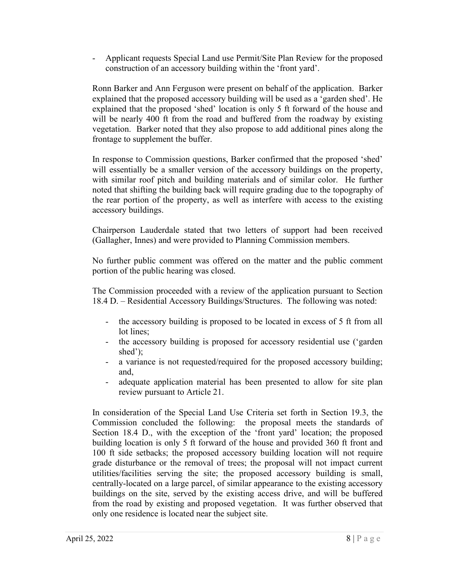- Applicant requests Special Land use Permit/Site Plan Review for the proposed construction of an accessory building within the 'front yard'.

Ronn Barker and Ann Ferguson were present on behalf of the application. Barker explained that the proposed accessory building will be used as a 'garden shed'. He explained that the proposed 'shed' location is only 5 ft forward of the house and will be nearly 400 ft from the road and buffered from the roadway by existing vegetation. Barker noted that they also propose to add additional pines along the frontage to supplement the buffer.

In response to Commission questions, Barker confirmed that the proposed 'shed' will essentially be a smaller version of the accessory buildings on the property, with similar roof pitch and building materials and of similar color. He further noted that shifting the building back will require grading due to the topography of the rear portion of the property, as well as interfere with access to the existing accessory buildings.

Chairperson Lauderdale stated that two letters of support had been received (Gallagher, Innes) and were provided to Planning Commission members.

No further public comment was offered on the matter and the public comment portion of the public hearing was closed.

The Commission proceeded with a review of the application pursuant to Section 18.4 D. – Residential Accessory Buildings/Structures. The following was noted:

- the accessory building is proposed to be located in excess of 5 ft from all lot lines;
- the accessory building is proposed for accessory residential use ('garden shed');
- a variance is not requested/required for the proposed accessory building; and,
- adequate application material has been presented to allow for site plan review pursuant to Article 21.

In consideration of the Special Land Use Criteria set forth in Section 19.3, the Commission concluded the following: the proposal meets the standards of Section 18.4 D., with the exception of the 'front yard' location; the proposed building location is only 5 ft forward of the house and provided 360 ft front and 100 ft side setbacks; the proposed accessory building location will not require grade disturbance or the removal of trees; the proposal will not impact current utilities/facilities serving the site; the proposed accessory building is small, centrally-located on a large parcel, of similar appearance to the existing accessory buildings on the site, served by the existing access drive, and will be buffered from the road by existing and proposed vegetation. It was further observed that only one residence is located near the subject site.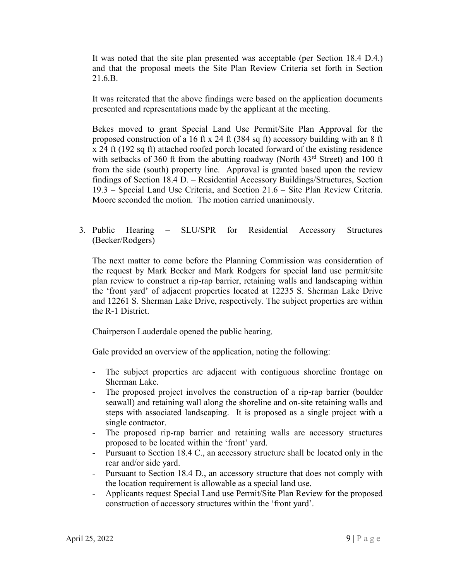It was noted that the site plan presented was acceptable (per Section 18.4 D.4.) and that the proposal meets the Site Plan Review Criteria set forth in Section 21.6.B.

It was reiterated that the above findings were based on the application documents presented and representations made by the applicant at the meeting.

Bekes moved to grant Special Land Use Permit/Site Plan Approval for the proposed construction of a 16 ft x 24 ft (384 sq ft) accessory building with an 8 ft x 24 ft (192 sq ft) attached roofed porch located forward of the existing residence with setbacks of 360 ft from the abutting roadway (North  $43<sup>rd</sup>$  Street) and 100 ft from the side (south) property line. Approval is granted based upon the review findings of Section 18.4 D. – Residential Accessory Buildings/Structures, Section 19.3 – Special Land Use Criteria, and Section 21.6 – Site Plan Review Criteria. Moore seconded the motion. The motion carried unanimously.

3. Public Hearing – SLU/SPR for Residential Accessory Structures (Becker/Rodgers)

The next matter to come before the Planning Commission was consideration of the request by Mark Becker and Mark Rodgers for special land use permit/site plan review to construct a rip-rap barrier, retaining walls and landscaping within the 'front yard' of adjacent properties located at 12235 S. Sherman Lake Drive and 12261 S. Sherman Lake Drive, respectively. The subject properties are within the R-1 District.

Chairperson Lauderdale opened the public hearing.

Gale provided an overview of the application, noting the following:

- The subject properties are adjacent with contiguous shoreline frontage on Sherman Lake.
- The proposed project involves the construction of a rip-rap barrier (boulder seawall) and retaining wall along the shoreline and on-site retaining walls and steps with associated landscaping. It is proposed as a single project with a single contractor.
- The proposed rip-rap barrier and retaining walls are accessory structures proposed to be located within the 'front' yard.
- Pursuant to Section 18.4 C., an accessory structure shall be located only in the rear and/or side yard.
- Pursuant to Section 18.4 D., an accessory structure that does not comply with the location requirement is allowable as a special land use.
- Applicants request Special Land use Permit/Site Plan Review for the proposed construction of accessory structures within the 'front yard'.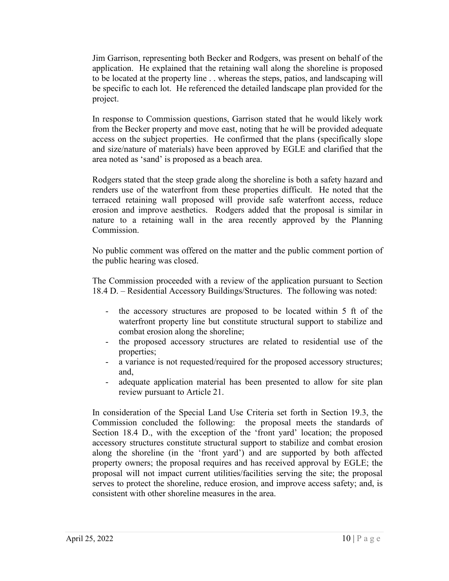Jim Garrison, representing both Becker and Rodgers, was present on behalf of the application. He explained that the retaining wall along the shoreline is proposed to be located at the property line . . whereas the steps, patios, and landscaping will be specific to each lot. He referenced the detailed landscape plan provided for the project.

In response to Commission questions, Garrison stated that he would likely work from the Becker property and move east, noting that he will be provided adequate access on the subject properties. He confirmed that the plans (specifically slope and size/nature of materials) have been approved by EGLE and clarified that the area noted as 'sand' is proposed as a beach area.

Rodgers stated that the steep grade along the shoreline is both a safety hazard and renders use of the waterfront from these properties difficult. He noted that the terraced retaining wall proposed will provide safe waterfront access, reduce erosion and improve aesthetics. Rodgers added that the proposal is similar in nature to a retaining wall in the area recently approved by the Planning Commission.

No public comment was offered on the matter and the public comment portion of the public hearing was closed.

The Commission proceeded with a review of the application pursuant to Section 18.4 D. – Residential Accessory Buildings/Structures. The following was noted:

- the accessory structures are proposed to be located within 5 ft of the waterfront property line but constitute structural support to stabilize and combat erosion along the shoreline;
- the proposed accessory structures are related to residential use of the properties;
- a variance is not requested/required for the proposed accessory structures; and,
- adequate application material has been presented to allow for site plan review pursuant to Article 21.

In consideration of the Special Land Use Criteria set forth in Section 19.3, the Commission concluded the following: the proposal meets the standards of Section 18.4 D., with the exception of the 'front yard' location; the proposed accessory structures constitute structural support to stabilize and combat erosion along the shoreline (in the 'front yard') and are supported by both affected property owners; the proposal requires and has received approval by EGLE; the proposal will not impact current utilities/facilities serving the site; the proposal serves to protect the shoreline, reduce erosion, and improve access safety; and, is consistent with other shoreline measures in the area.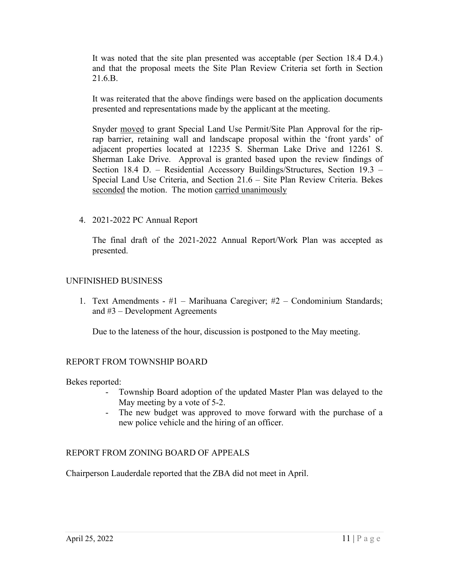It was noted that the site plan presented was acceptable (per Section 18.4 D.4.) and that the proposal meets the Site Plan Review Criteria set forth in Section 21.6.B.

It was reiterated that the above findings were based on the application documents presented and representations made by the applicant at the meeting.

Snyder moved to grant Special Land Use Permit/Site Plan Approval for the riprap barrier, retaining wall and landscape proposal within the 'front yards' of adjacent properties located at 12235 S. Sherman Lake Drive and 12261 S. Sherman Lake Drive. Approval is granted based upon the review findings of Section 18.4 D. – Residential Accessory Buildings/Structures, Section 19.3 – Special Land Use Criteria, and Section 21.6 – Site Plan Review Criteria. Bekes seconded the motion. The motion carried unanimously

4. 2021-2022 PC Annual Report

The final draft of the 2021-2022 Annual Report/Work Plan was accepted as presented.

### UNFINISHED BUSINESS

1. Text Amendments - #1 – Marihuana Caregiver; #2 – Condominium Standards; and #3 – Development Agreements

Due to the lateness of the hour, discussion is postponed to the May meeting.

## REPORT FROM TOWNSHIP BOARD

Bekes reported:

- Township Board adoption of the updated Master Plan was delayed to the May meeting by a vote of 5-2.
- The new budget was approved to move forward with the purchase of a new police vehicle and the hiring of an officer.

#### REPORT FROM ZONING BOARD OF APPEALS

Chairperson Lauderdale reported that the ZBA did not meet in April.